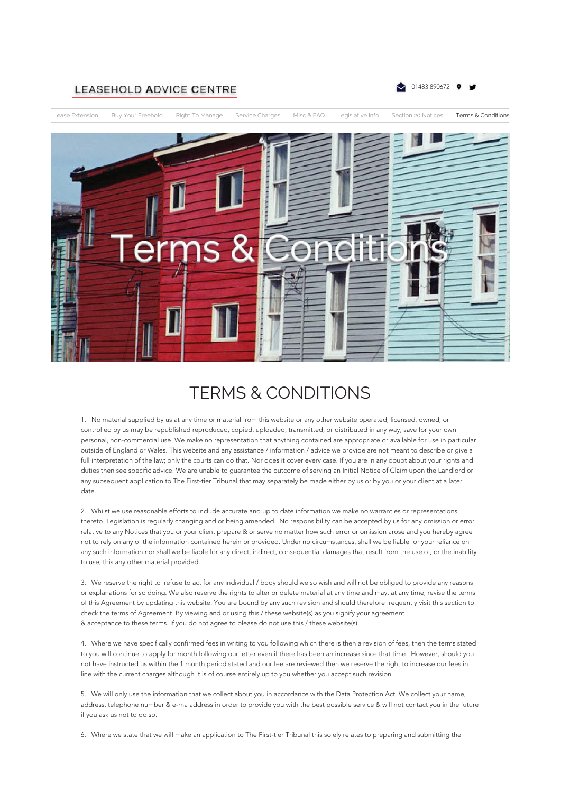## **LEASEHOLD ADVICE CENTRE**





## TERMS & CONDITIONS

1. No material supplied by us at any time or material from this website or any other website operated, licensed, owned, or controlled by us may be republished reproduced, copied, uploaded, transmitted, or distributed in any way, save for your own personal, non-commercial use. We make no representation that anything contained are appropriate or available for use in particular outside of England or Wales. This website and any assistance / information / advice we provide are not meant to describe or give a full interpretation of the law; only the courts can do that. Nor does it cover every case. If you are in any doubt about your rights and duties then see specific advice. We are unable to guarantee the outcome of serving an Initial Notice of Claim upon the Landlord or any subsequent application to The First-tier Tribunal that may separately be made either by us or by you or your client at a later date.

2. Whilst we use reasonable efforts to include accurate and up to date information we make no warranties or representations thereto. Legislation is regularly changing and or being amended. No responsibility can be accepted by us for any omission or error relative to any Notices that you or your client prepare & or serve no matter how such error or omission arose and you hereby agree not to rely on any of the information contained herein or provided. Under no circumstances, shall we be liable for your reliance on any such information nor shall we be liable for any direct, indirect, consequential damages that result from the use of, or the inability to use, this any other material provided.

3. We reserve the right to refuse to act for any individual / body should we so wish and will not be obliged to provide any reasons or explanations for so doing. We also reserve the rights to alter or delete material at any time and may, at any time, revise the terms of this Agreement by updating this website. You are bound by any such revision and should therefore frequently visit this section to check the terms of Agreement. By viewing and or using this / these website(s) as you signify your agreement & acceptance to these terms. If you do not agree to please do not use this / these website(s).

4. Where we have specifically confirmed fees in writing to you following which there is then a revision of fees, then the terms stated to you will continue to apply for month following our letter even if there has been an increase since that time. However, should you not have instructed us within the 1 month period stated and our fee are reviewed then we reserve the right to increase our fees in line with the current charges although it is of course entirely up to you whether you accept such revision.

5. We will only use the information that we collect about you in accordance with the Data Protection Act. We collect your name, address, telephone number & e-ma address in order to provide you with the best possible service & will not contact you in the future if you ask us not to do so.

6. Where we state that we will make an application to The First-tier Tribunal this solely relates to preparing and submitting the